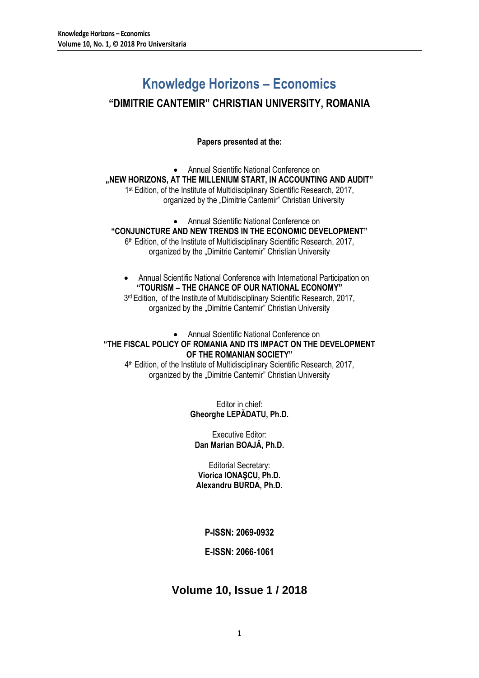# **Knowledge Horizons – Economics**

# **"DIMITRIE CANTEMIR" CHRISTIAN UNIVERSITY, ROMANIA**

**Papers presented at the:**

 Annual Scientific National Conference on **"NEW HORIZONS, AT THE MILLENIUM START, IN ACCOUNTING AND AUDIT"** 1<sup>st</sup> Edition, of the Institute of Multidisciplinary Scientific Research, 2017, organized by the "Dimitrie Cantemir" Christian University

 Annual Scientific National Conference on **"CONJUNCTURE AND NEW TRENDS IN THE ECONOMIC DEVELOPMENT"** 6 th Edition, of the Institute of Multidisciplinary Scientific Research, 2017, organized by the "Dimitrie Cantemir" Christian University

 Annual Scientific National Conference with International Participation on **"TOURISM – THE CHANCE OF OUR NATIONAL ECONOMY"** 3<sup>rd</sup> Edition, of the Institute of Multidisciplinary Scientific Research, 2017,

organized by the "Dimitrie Cantemir" Christian University

## Annual Scientific National Conference on **"THE FISCAL POLICY OF ROMANIA AND ITS IMPACT ON THE DEVELOPMENT OF THE ROMANIAN SOCIETY"**

4 th Edition, of the Institute of Multidisciplinary Scientific Research, 2017, organized by the "Dimitrie Cantemir" Christian University

> Editor in chief: **Gheorghe LEPĂDATU, Ph.D.**

Executive Editor: **Dan Marian BOAJĂ, Ph.D.**

Editorial Secretary: **Viorica IONAŞCU, Ph.D. Alexandru BURDA, Ph.D.**

**P-ISSN: 2069-0932**

## **E-ISSN: 2066-1061**

# **Volume 10, Issue 1 / 2018**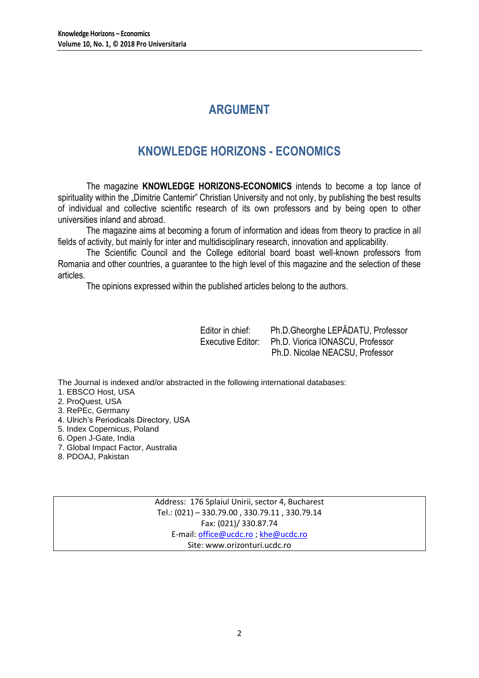# **ARGUMENT**

# **KNOWLEDGE HORIZONS - ECONOMICS**

The magazine **KNOWLEDGE HORIZONS-ECONOMICS** intends to become a top lance of spirituality within the "Dimitrie Cantemir" Christian University and not only, by publishing the best results of individual and collective scientific research of its own professors and by being open to other universities inland and abroad.

The magazine aims at becoming a forum of information and ideas from theory to practice in all fields of activity, but mainly for inter and multidisciplinary research, innovation and applicability.

The Scientific Council and the College editorial board boast well-known professors from Romania and other countries, a guarantee to the high level of this magazine and the selection of these articles.

The opinions expressed within the published articles belong to the authors.

Editor in chief: Ph.D.Gheorghe LEPĂDATU, Professor Executive Editor: Ph.D. Viorica IONASCU, Professor Ph.D. Nicolae NEACSU, Professor

The Journal is indexed and/or abstracted in the following international databases:

1. EBSCO Host, USA

- 2. ProQuest, USA
- 3. RePEc, Germany
- 4. Ulrich's Periodicals Directory, USA
- 5. Index Copernicus, Poland
- 6. Open J-Gate, India
- 7. Global Impact Factor, Australia
- 8. PDOAJ, Pakistan

Address: 176 Splaiul Unirii, sector 4, Bucharest Tel.: (021) – 330.79.00 , 330.79.11 , 330.79.14 Fax: (021)/ 330.87.74 E-mail[: office@ucdc.ro](mailto:office@ucdc.ro) [; khe@ucdc.ro](mailto:khe@ucdc.ro) Site: www.orizonturi.ucdc.ro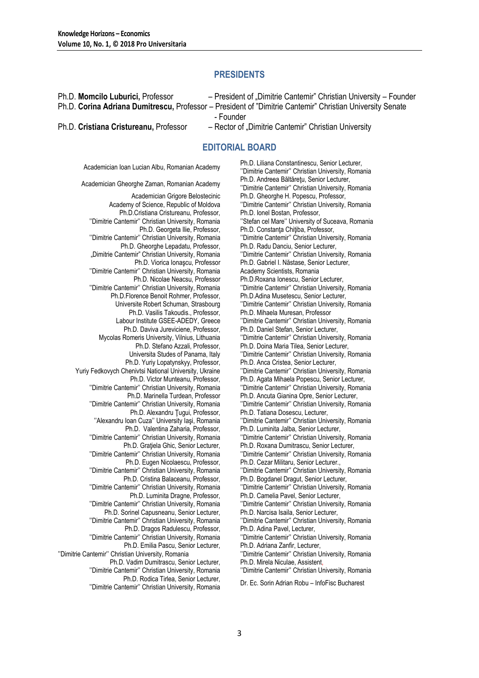## **PRESIDENTS**

Ph.D. **Momcilo Luburici,** Professor– President of "Dimitrie Cantemir" Christian University – Founder Ph.D. **Corina Adriana Dumitrescu,** Professor – President of "Dimitrie Cantemir" Christian University Senate - Founder Ph.D. **Cristiana Cristureanu,** Professor – Rector of "Dimitrie Cantemir" Christian University

## **EDITORIAL BOARD**

Academician Grigore Belostecinic Academy of Science, Republic of Moldova Ph.D.Cristiana Cristureanu, Professor, ''Dimitrie Cantemir'' Christian University, Romania Ph.D. Georgeta Ilie, Professor, ''Dimitrie Cantemir'' Christian University, Romania Ph.D. Gheorghe Lepadatu, Professor, "Dimitrie Cantemir" Christian University, Romania Ph.D. Viorica Ionaşcu, Professor ''Dimitrie Cantemir'' Christian University, Romania Ph.D. Nicolae Neacsu, Professor ''Dimitrie Cantemir'' Christian University, Romania Ph.D.Florence Benoit Rohmer, Professor, Universite Robert Schuman, Strasbourg Ph.D. Vasilis Takoudis., Professor, Labour Institute GSEE-ADEDY, Greece Ph.D. Daviva Jureviciene, Professor, Mycolas Romeris University, Vilnius, Lithuania Ph.D. Stefano Azzali, Professor, Universita Studes of Panama, Italy Ph.D. Yuriy Lopatynskyy, Professor, Yuriy Fedkovych Chenivtsi National University, Ukraine Ph.D. Victor Munteanu, Professor, ''Dimitrie Cantemir'' Christian University, Romania Ph.D. Marinella Turdean, Professor ''Dimitrie Cantemir'' Christian University, Romania Ph.D. Alexandru Ţugui, Professor, ''Alexandru Ioan Cuza'' University Iaşi, Romania Ph.D. Valentina Zaharia, Professor, ''Dimitrie Cantemir'' Christian University, Romania Ph.D. Gratiela Ghic, Senior Lecturer, ''Dimitrie Cantemir'' Christian University, Romania Ph.D. Eugen Nicolaescu, Professor, ''Dimitrie Cantemir'' Christian University, Romania Ph.D. Cristina Balaceanu, Professor, ''Dimitrie Cantemir'' Christian University, Romania Ph.D. Luminita Dragne, Professor, ''Dimitrie Cantemir'' Christian University, Romania Ph.D. Sorinel Capusneanu, Senior Lecturer, ''Dimitrie Cantemir'' Christian University, Romania Ph.D. Dragos Radulescu, Professor, ''Dimitrie Cantemir'' Christian University, Romania Ph.D. Emilia Pascu, Senior Lecturer, ''Dimitrie Cantemir'' Christian University, Romania Ph.D. Vadim Dumitrascu, Senior Lecturer, ''Dimitrie Cantemir'' Christian University, Romania Ph.D. Rodica Tirlea, Senior Lecturer, ''Dimitrie Cantemir'' Christian University, Romania Dr. Ec. Sorin Adrian Robu – InfoFisc Bucharest

Academician Ioan Lucian Albu, Romanian Academy Ph.D. Liliana Constantinescu, Senior Lecturer, ''Dimitrie Cantemir'' Christian University, Romania Academician Gheorghe Zaman, Romanian Academy Ph.D. Andreea Băltăreţu, Senior Lecturer, ''Dimitrie Cantemir'' Christian University, Romania Ph.D. Gheorghe H. Popescu, Professor, ''Dimitrie Cantemir'' Christian University, Romania Ph.D. Ionel Bostan, Professor, ''Stefan cel Mare'' University of Suceava, Romania Ph.D. Constanța Chițiba, Professor, ''Dimitrie Cantemir'' Christian University, Romania Ph.D. Radu Danciu, Senior Lecturer, ''Dimitrie Cantemir'' Christian University, Romania Ph.D. Gabriel I. Năstase, Senior Lecturer, Academy Scientists, Romania Ph.D.Roxana Ionescu, Senior Lecturer, ''Dimitrie Cantemir'' Christian University, Romania Ph.D.Adina Musetescu, Senior Lecturer, ''Dimitrie Cantemir'' Christian University, Romania Ph.D. Mihaela Muresan, Professor ''Dimitrie Cantemir'' Christian University, Romania Ph.D. Daniel Stefan, Senior Lecturer, ''Dimitrie Cantemir'' Christian University, Romania Ph.D. Doina Maria Tilea, Senior Lecturer, ''Dimitrie Cantemir'' Christian University, Romania Ph.D. Anca Cristea, Senior Lecturer, ''Dimitrie Cantemir'' Christian University, Romania Ph.D. Agata Mihaela Popescu, Senior Lecturer, ''Dimitrie Cantemir'' Christian University, Romania Ph.D. Ancuta Gianina Opre, Senior Lecturer, ''Dimitrie Cantemir'' Christian University, Romania Ph.D. Tatiana Dosescu, Lecturer, ''Dimitrie Cantemir'' Christian University, Romania Ph.D. Luminita Jalba, Senior Lecturer, ''Dimitrie Cantemir'' Christian University, Romania Ph.D. Roxana Dumitrascu, Senior Lecturer, ''Dimitrie Cantemir'' Christian University, Romania Ph.D. Cezar Militaru, Senior Lecturer., ''Dimitrie Cantemir'' Christian University, Romania Ph.D. Bogdanel Dragut, Senior Lecturer, ''Dimitrie Cantemir'' Christian University, Romania Ph.D. Camelia Pavel, Senior Lecturer, ''Dimitrie Cantemir'' Christian University, Romania Ph.D. Narcisa Isaila, Senior Lecturer, ''Dimitrie Cantemir'' Christian University, Romania Ph.D. Adina Pavel, Lecturer, ''Dimitrie Cantemir'' Christian University, Romania Ph.D. Adriana Zanfir, Lecturer, ''Dimitrie Cantemir'' Christian University, Romania Ph.D. Mirela Niculae, Assistent, ''Dimitrie Cantemir'' Christian University, Romania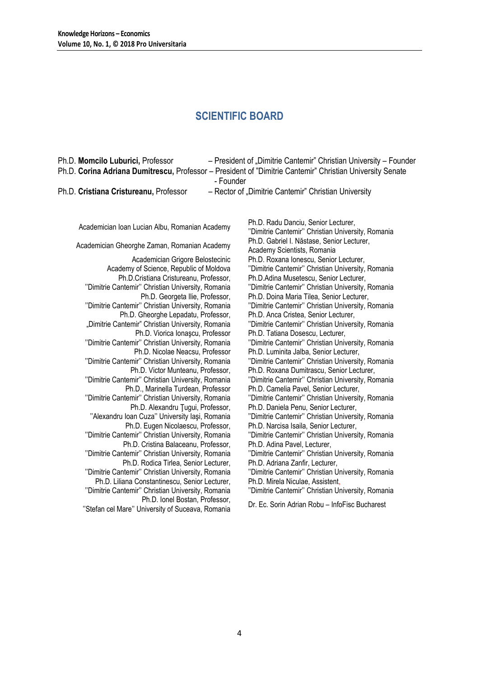## **SCIENTIFIC BOARD**

| Ph.D. Momcilo Luburici, Professor                      | - President of "Dimitrie Cantemir" Christian University - Founder                                         |
|--------------------------------------------------------|-----------------------------------------------------------------------------------------------------------|
|                                                        | Ph.D. Corina Adriana Dumitrescu, Professor – President of "Dimitrie Cantemir" Christian University Senate |
|                                                        | - Founder                                                                                                 |
| $Dh \nightharpoonup C$ riotiana Crioturaanu, Drofossor | Booter of Dimitric Contamir" Christian University                                                         |

Ph.D. **Cristiana Cristureanu,** Professor – Hector of "Dimitrie Cantemir" Christian University

Academician Ioan Lucian Albu, Romanian Academy Ph.D. Radu Danciu, Senior Lecturer,

- Academician Grigore Belostecinic Academy of Science, Republic of Moldova Ph.D.Cristiana Cristureanu, Professor, ''Dimitrie Cantemir'' Christian University, Romania Ph.D. Georgeta Ilie, Professor, ''Dimitrie Cantemir'' Christian University, Romania Ph.D. Gheorghe Lepadatu, Professor, "Dimitrie Cantemir" Christian University, Romania Ph.D. Viorica Ionaşcu, Professor ''Dimitrie Cantemir'' Christian University, Romania Ph.D. Nicolae Neacsu, Professor ''Dimitrie Cantemir'' Christian University, Romania Ph.D. Victor Munteanu, Professor, ''Dimitrie Cantemir'' Christian University, Romania Ph.D., Marinella Turdean, Professor ''Dimitrie Cantemir'' Christian University, Romania Ph.D. Alexandru Ţugui, Professor, ''Alexandru Ioan Cuza'' University Iaşi, Romania Ph.D. Eugen Nicolaescu, Professor, ''Dimitrie Cantemir'' Christian University, Romania Ph.D. Cristina Balaceanu, Professor, ''Dimitrie Cantemir'' Christian University, Romania Ph.D. Rodica Tirlea, Senior Lecturer, ''Dimitrie Cantemir'' Christian University, Romania Ph.D. Liliana Constantinescu, Senior Lecturer, ''Dimitrie Cantemir'' Christian University, Romania Ph.D. Ionel Bostan, Professor,
	- ''Stefan cel Mare'' University of Suceava, Romania Dr. Ec. Sorin Adrian Robu InfoFisc Bucharest

''Dimitrie Cantemir'' Christian University, Romania Academician Gheorghe Zaman, Romanian Academy Ph.D. Gabriel I. Năstase, Senior Lecturer, Academy Scientists, Romania Ph.D. Roxana Ionescu, Senior Lecturer, ''Dimitrie Cantemir'' Christian University, Romania Ph.D.Adina Musetescu, Senior Lecturer, ''Dimitrie Cantemir'' Christian University, Romania Ph.D. Doina Maria Tilea, Senior Lecturer, ''Dimitrie Cantemir'' Christian University, Romania Ph.D. Anca Cristea, Senior Lecturer, ''Dimitrie Cantemir'' Christian University, Romania Ph.D. Tatiana Dosescu, Lecturer, ''Dimitrie Cantemir'' Christian University, Romania Ph.D. Luminita Jalba, Senior Lecturer, ''Dimitrie Cantemir'' Christian University, Romania Ph.D. Roxana Dumitrascu, Senior Lecturer, ''Dimitrie Cantemir'' Christian University, Romania Ph.D. Camelia Pavel, Senior Lecturer, ''Dimitrie Cantemir'' Christian University, Romania Ph.D. Daniela Penu, Senior Lecturer, ''Dimitrie Cantemir'' Christian University, Romania Ph.D. Narcisa Isaila, Senior Lecturer, ''Dimitrie Cantemir'' Christian University, Romania Ph.D. Adina Pavel, Lecturer, ''Dimitrie Cantemir'' Christian University, Romania Ph.D. Adriana Zanfir, Lecturer, ''Dimitrie Cantemir'' Christian University, Romania Ph.D. Mirela Niculae, Assistent,

''Dimitrie Cantemir'' Christian University, Romania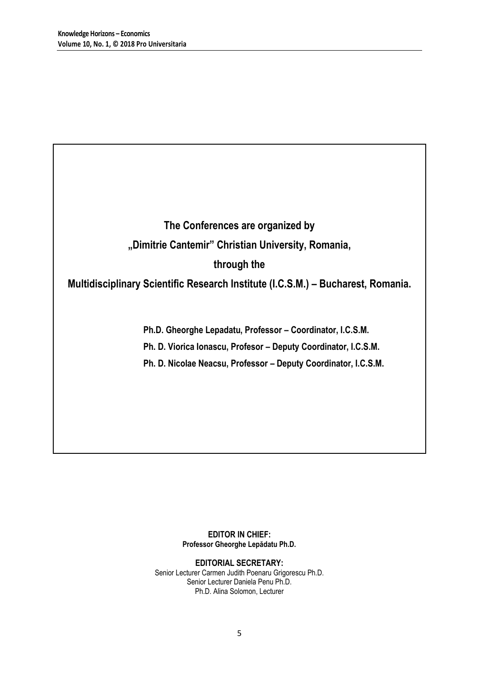**The Conferences are organized by "Dimitrie Cantemir" Christian University, Romania, through the** 

**Multidisciplinary Scientific Research Institute (I.C.S.M.) – Bucharest, Romania.**

**Ph.D. Gheorghe Lepadatu, Professor – Coordinator, I.C.S.M.**

**Ph. D. Viorica Ionascu, Profesor – Deputy Coordinator, I.C.S.M.**

**Ph. D. Nicolae Neacsu, Professor – Deputy Coordinator, I.C.S.M.**

**EDITOR IN CHIEF: Professor Gheorghe Lepădatu Ph.D.**

**EDITORIAL SECRETARY:** Senior Lecturer Carmen Judith Poenaru Grigorescu Ph.D. Senior Lecturer Daniela Penu Ph.D. Ph.D. Alina Solomon, Lecturer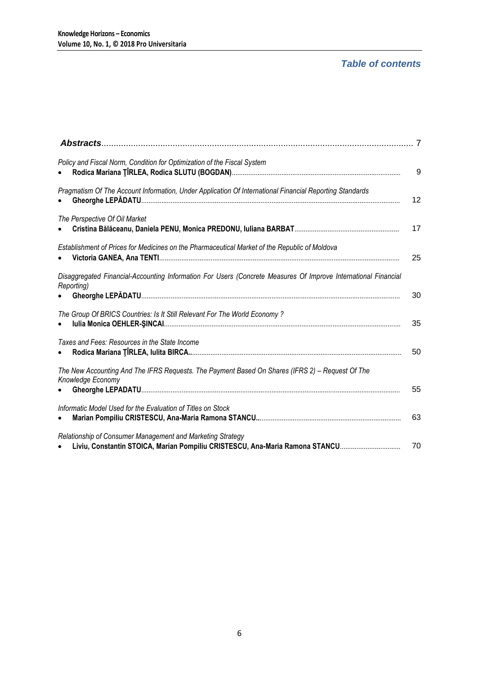# *Table of contents*

| Policy and Fiscal Norm, Condition for Optimization of the Fiscal System                                                                    | 9  |
|--------------------------------------------------------------------------------------------------------------------------------------------|----|
| Pragmatism Of The Account Information, Under Application Of International Financial Reporting Standards                                    | 12 |
| The Perspective Of Oil Market                                                                                                              | 17 |
| Establishment of Prices for Medicines on the Pharmaceutical Market of the Republic of Moldova                                              | 25 |
| Disaggregated Financial-Accounting Information For Users (Concrete Measures Of Improve International Financial<br>Reporting)               | 30 |
| The Group Of BRICS Countries: Is It Still Relevant For The World Economy ?                                                                 | 35 |
| Taxes and Fees: Resources in the State Income                                                                                              | 50 |
| The New Accounting And The IFRS Requests. The Payment Based On Shares (IFRS 2) - Request Of The<br>Knowledge Economy                       | 55 |
| Informatic Model Used for the Evaluation of Titles on Stock                                                                                | 63 |
| Relationship of Consumer Management and Marketing Strategy<br>Liviu, Constantin STOICA, Marian Pompiliu CRISTESCU, Ana-Maria Ramona STANCU | 70 |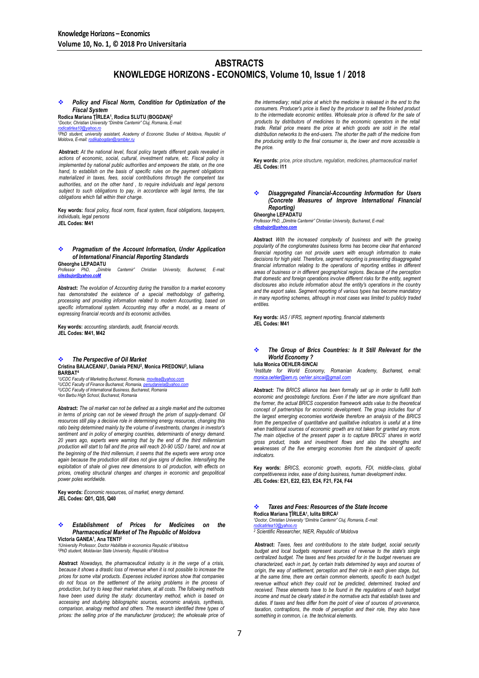## **ABSTRACTS KNOWLEDGE HORIZONS - ECONOMICS, Volume 10, Issue 1 / 2018**

 *Policy and Fiscal Norm, Condition for Optimization of the Fiscal System*

**Rodica Mariana ŢÎRLEA<sup>1</sup> , Rodica SLUTU (BOGDAN)<sup>2</sup>**

*<sup>1</sup>Doctor, Christian University "Dimitrie Cantemir" Cluj, Romania, E-mail: [rodicatirlea10@yahoo.ro](mailto:rodicatirlea10@yahoo.ro)*

<u>rодизвитеатомунатовку</u><br><sup>2</sup>PhD student, university assistant, Academy of Economic Studies of Moldova, Republic of<br>Moldova. E-mail: rodikaboodan@rambler.ru *Moldova, E-mail: rodikab* 

**Abstract:** *At the national level, fiscal policy targets different goals revealed in actions of economic, social, cultural, investment nature, etc. Fiscal policy is implemented by national public authorities and empowers the state, on the one hand, to establish on the basis of specific rules on the payment obligations materialized in taxes, fees, social contributions through the competent tax authorities, and on the other hand , to require individuals and legal persons subject to such obligations to pay, in accordance with legal terms, the tax obligations which fall within their charge.*

**Key words:** *fiscal policy, fiscal norm, fiscal system, fiscal obligations, taxpayers, individuals, legal persons* **JEL Codes: M41**

### *Pragmatism of the Account Information, Under Application of International Financial Reporting Standards*

**Gheorghe LEPADATU** *Professor PhD, "Dimitrie Cantemir" Christian University, Bucharest, E-mail: [cilezbujor@yahoo.coM](mailto:cilezbujor@yahoo.coM)*

**Abstract:** *The evolution of Accounting during the transition to a market economy has demonstrated the existence of a special methodology of gathering, processing and providing information related to modern Accounting, based on*  specific informational system. Accounting may offer a model, as a means of *expressing financial records and its economic activities.*

**Key words:** *accounting, standards, audit, financial records.* **JEL Codes: M41, M42**

 *The Perspective of Oil Market* **Cristina BALACEANU<sup>1</sup> , Daniela PENU<sup>2</sup> , Monica PREDONU<sup>3</sup> , Iuliana BARBAT<sup>4</sup>**

*<sup>1</sup>UCDC Faculty of Marketing Bucharest, Romania[, movitea@yahoo.com](mailto:movitea@yahoo.com)* <sup>2</sup><br><sup>2</sup>UCDC Faculty of Finance Bucharest, Romania, pen *<sup>3</sup>UCDC Faculty of International Business, Bucharest, Romania 4 Ion Barbu High School, Bucharest, Romania*

**Abstract:** *The oil market can not be defined as a single market and the outcomes*  in terms of pricing can not be viewed through the prism of supply-demand. Oil *resources still play a decisive role in determining energy resources, changing this*  ratio being determined mainly by the volume of investments, changes in investor's ratio being determined mainly by the volume of investments, changes in investor's *sentiment and in policy of emerging countries, determinants of energy demand. 20 years ago, experts were warning that by the end of the third millennium production will start to fall and the price will reach 20-90 USD / barrel, and now at the beginning of the third millennium, it seems that the experts were wrong once again because the production still does not give signs of decline. Intensifying the exploitation of shale oil gives new dimensions to oil production, with effects on prices, creating structural changes and changes in economic and geopolitical power poles worldwide.* 

**Key words:** *Economic resources, oil market, energy demand.* **JEL Codes: Q01, Q35, Q40**

#### *Establishment of Prices for Medicines on the Pharmaceutical Market of The Republic of Moldova* **Victoria GANEA<sup>1</sup> , Ana TENTI<sup>2</sup>**

*1University Professor, Doctor Habilitate in economics Republic of Moldova <sup>2</sup>PhD student, Moldavian State University, Republic of Moldova*

**Abstract** *Nowadays, the pharmaceutical industry is in the verge of a crisis, because it shows a drastic loss of revenue when it is not possible to increase the prices for some vital products. Expenses included inprices show that companies do not focus on the settlement of the arising problems in the process of production, but try to keep their market share, at all costs. The following methods have been used during the study: documentary method, which is based on accessing and studying bibliographic sources, economic analysis, synthesis, comparison, analogy method and others. The research identified three types of*  prices: the selling price of the manufacturer (producer); the wholesale price of

*the intermediary; retail price at which the medicine is released in the end to the consumers. Producer's price is fixed by the producer to sell the finished product to the intermediate economic entities. Wholesale price is offered for the sale of products by distributors of medicines to the economic operators in the retail trade. Retail price means the price at which goods are sold in the retail distribution networks to the end-users. The shorter the path of the medicine from the producing entity to the final consumer is, the lower and more accessible is the price.*

**Key words:** *price, price structure, regulation, medicines, pharmaceutical market* **JEL Codes: I11**

#### *Disaggregated Financial-Accounting Information for Users (Concrete Measures of Improve International Financial Reporting)*

**Gheorghe LEPADATU**

*Professor PhD, "Dimitrie Cantemir" Christian University, Bucharest, E-mail: [cilezbujor@yahoo.com](mailto:cilezbujor@yahoo.com)*

**Abstract** *With the increased complexity of business and with the growing popularity of the conglomerates business forms has become clear that enhanced financial reporting can not provide users with enough information to make decisions for high yield. Therefore, segment reporting is presenting disaggregated*  financial information relating to the operations of reporting entities in different areas of business or in different geographical regions. Because of the perception<br>that domestic and foreign operations involve different risks for the entity, segment *disclosures also include information about the entity's operations in the country and the export sales. Segment reporting of various types has become mandatory in many reporting schemes, although in most cases was limited to publicly traded entities.*

**Key words:** *IAS / IFRS, segment reporting, financial statements* **JEL Codes: M41**

#### *The Group of Brics Countries: Is It Still Relevant for the World Economy ?* **Iulia Monica OEHLER-SINCAI**

*1 Institute for World Economy, Romanian Academy, Bucharest, e-mail: [monica.oehler@iem.ro,](mailto:monica.oehler@iem.ro) [oehler.sincai@gmail.com](mailto:oehler.sincai@gmail.com)*

**Abstract:** *The BRICS alliance has been formally set up in order to fulfill both economic and geostrategic functions. Even if the latter are more significant than the former, the actual BRICS cooperation framework adds value to the theoretical concept of partnerships for economic development. The group includes four of the largest emerging economies worldwide therefore an analysis of the BRICS from the perspective of quantitative and qualitative indicators is useful at a time when traditional sources of economic growth are not taken for granted any more. The main objective of the present paper is to capture BRICS' shares in world gross product, trade and investment flows and also the strengths and weaknesses of the five emerging economies from the standpoint of specific indicators.*

**Key words:** *BRICS, economic growth, exports, FDI, middle-class, global competitiveness index, ease of doing business, human development index.* **JEL Codes: E21, E22, E23, E24, F21, F24, F44**

#### *Taxes and Fees: Resources of the State Income* **Rodica Mariana ŢÎRLEA<sup>1</sup> , Iulita BIRCA<sup>2</sup>** *<sup>1</sup>Doctor, Christian University "Dimitrie Cantemir" Cluj, Romania, E-mail:*

*[rodicatirlea10@yahoo.ro](mailto:rodicatirlea10@yahoo.ro) <sup>2</sup> Scientific Researcher, NIER, Republic of Moldova*

**Abstract:** *Taxes, fees and contributions to the state budget, social security*  **budget and local budgets represent sources of revenue to the state's single** *centralized budget. The taxes and fees provided for in the budget revenues are characterized, each in part, by certain traits determined by ways and sources of origin, the way of settlement, perception and their role in each given stage, but, at the same time, there are certain common elements, specific to each budget revenue without which they could not be predicted, determined, tracked and received. These elements have to be found in the regulations of each budget income and must be clearly stated in the normative acts that establish taxes and duties. If taxes and fees differ from the point of view of sources of provenance, taxation, contraptions, the mode of perception and their role, they also have something in common, i.e. the technical elements.*